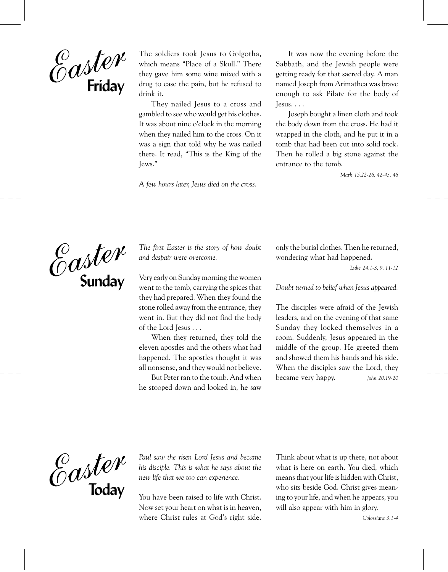

The soldiers took Jesus to Golgotha, which means "Place of a Skull." There they gave him some wine mixed with a drug to ease the pain, but he refused to drink it.

They nailed Jesus to a cross and gambled to see who would get his clothes. It was about nine o'clock in the morning when they nailed him to the cross. On it was a sign that told why he was nailed there. It read, "This is the King of the Jews."

A few hours later, Jesus died on the cross.

It was now the evening before the Sabbath, and the Jewish people were getting ready for that sacred day. A man named Joseph from Arimathea was brave enough to ask Pilate for the body of lesus....

Joseph bought a linen cloth and took the body down from the cross. He had it wrapped in the cloth, and he put it in a tomb that had been cut into solid rock. Then he rolled a big stone against the entrance to the tomb.

Mark 15.22-26, 42-43, 46



The first Easter is the story of how doubt and despair were overcome.

Very early on Sunday morning the women went to the tomb, carrying the spices that they had prepared. When they found the stone rolled away from the entrance, they went in. But they did not find the body of the Lord Jesus . . .

When they returned, they told the eleven apostles and the others what had happened. The apostles thought it was all nonsense, and they would not believe.

But Peter ran to the tomb. And when he stooped down and looked in, he saw

only the burial clothes. Then he returned, wondering what had happened.

Luke 24.1-3, 9, 11-12

Doubt turned to belief when Jesus appeared.

The disciples were afraid of the Jewish leaders, and on the evening of that same Sunday they locked themselves in a room. Suddenly, Jesus appeared in the middle of the group. He greeted them and showed them his hands and his side. When the disciples saw the Lord, they became very happy. John 20.19-20



Paul saw the risen Lord Jesus and became his disciple. This is what he says about the new life that we too can experience.

You have been raised to life with Christ. Now set your heart on what is in heaven, where Christ rules at God's right side. Think about what is up there, not about what is here on earth. You died, which means that your life is hidden with Christ, who sits beside God. Christ gives meaning to your life, and when he appears, you will also appear with him in glory.